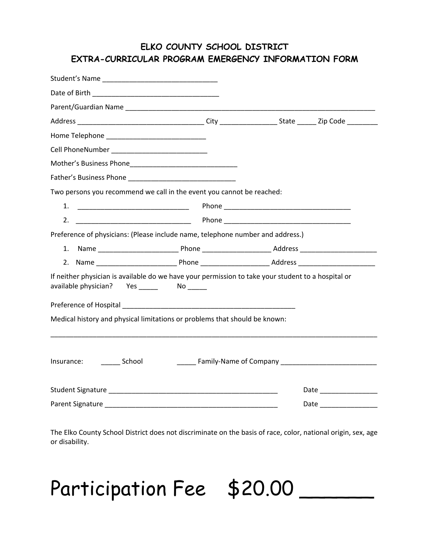## **ELKO COUNTY SCHOOL DISTRICT EXTRA-CURRICULAR PROGRAM EMERGENCY INFORMATION FORM**

| Two persons you recommend we call in the event you cannot be reached:          |                                                                                                    |  |  |  |
|--------------------------------------------------------------------------------|----------------------------------------------------------------------------------------------------|--|--|--|
|                                                                                |                                                                                                    |  |  |  |
|                                                                                |                                                                                                    |  |  |  |
| Preference of physicians: (Please include name, telephone number and address.) |                                                                                                    |  |  |  |
|                                                                                |                                                                                                    |  |  |  |
| 1.                                                                             |                                                                                                    |  |  |  |
|                                                                                |                                                                                                    |  |  |  |
|                                                                                | If neither physician is available do we have your permission to take your student to a hospital or |  |  |  |
|                                                                                |                                                                                                    |  |  |  |
| Medical history and physical limitations or problems that should be known:     |                                                                                                    |  |  |  |
| <b>School</b><br>Insurance:                                                    |                                                                                                    |  |  |  |
|                                                                                |                                                                                                    |  |  |  |

The Elko County School District does not discriminate on the basis of race, color, national origin, sex, age or disability.

## Participation Fee \$20.00